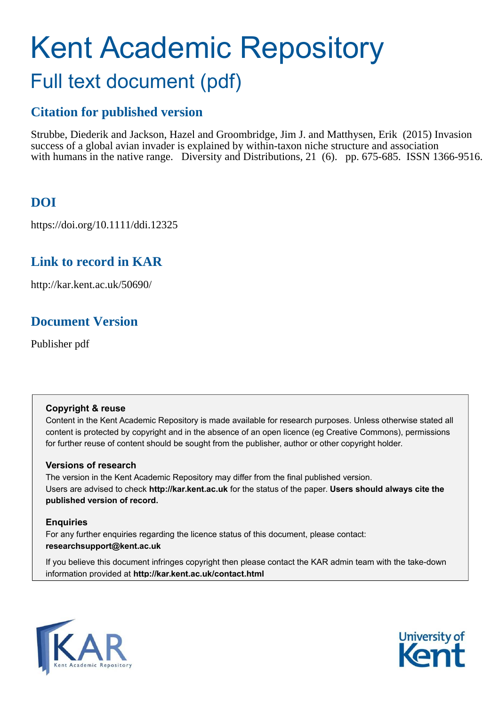# Kent Academic Repository Full text document (pdf)

### **Citation for published version**

Strubbe, Diederik and Jackson, Hazel and Groombridge, Jim J. and Matthysen, Erik (2015) Invasion success of a global avian invader is explained by within-taxon niche structure and association with humans in the native range. Diversity and Distributions, 21 (6). pp. 675-685. ISSN 1366-9516.

# **DOI**

https://doi.org/10.1111/ddi.12325

# **Link to record in KAR**

http://kar.kent.ac.uk/50690/

# **Document Version**

Publisher pdf

### **Copyright & reuse**

Content in the Kent Academic Repository is made available for research purposes. Unless otherwise stated all content is protected by copyright and in the absence of an open licence (eg Creative Commons), permissions for further reuse of content should be sought from the publisher, author or other copyright holder.

### **Versions of research**

The version in the Kent Academic Repository may differ from the final published version. Users are advised to check **http://kar.kent.ac.uk** for the status of the paper. **Users should always cite the published version of record.**

### **Enquiries**

For any further enquiries regarding the licence status of this document, please contact: **researchsupport@kent.ac.uk**

If you believe this document infringes copyright then please contact the KAR admin team with the take-down information provided at **http://kar.kent.ac.uk/contact.html**



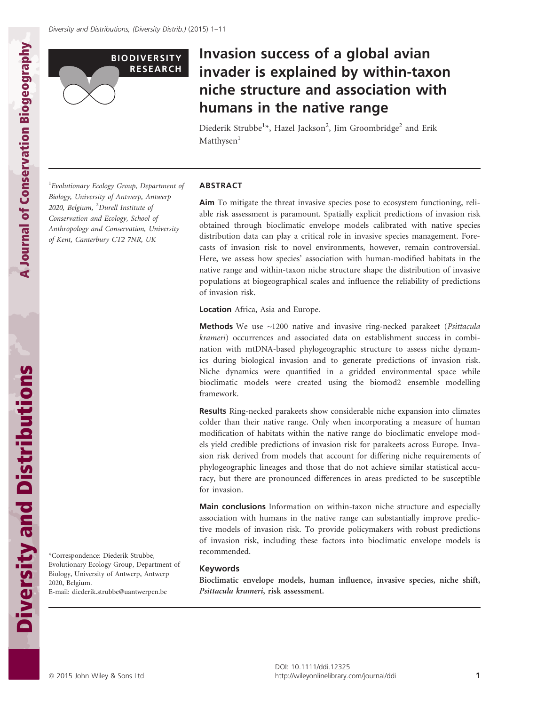

# Invasion success of a global avian invader is explained by within-taxon niche structure and association with humans in the native range

Diederik Strubbe<sup>1</sup>\*, Hazel Jackson<sup>2</sup>, Jim Groombridge<sup>2</sup> and Erik Matthysen<sup>1</sup>

1 *Evolutionary Ecology Group, Department of Biology, University of Antwerp, Antwerp 2020, Belgium,* <sup>2</sup>*Durell Institute of Conservation and Ecology, School of Anthropology and Conservation, University of Kent, Canterbury CT2 7NR, UK*

#### ABSTRACT

Aim To mitigate the threat invasive species pose to ecosystem functioning, reliable risk assessment is paramount. Spatially explicit predictions of invasion risk obtained through bioclimatic envelope models calibrated with native species distribution data can play a critical role in invasive species management. Forecasts of invasion risk to novel environments, however, remain controversial. Here, we assess how species' association with human-modified habitats in the native range and within-taxon niche structure shape the distribution of invasive populations at biogeographical scales and influence the reliability of predictions of invasion risk.

Location Africa, Asia and Europe.

Methods We use ~1200 native and invasive ring-necked parakeet (*Psittacula krameri*) occurrences and associated data on establishment success in combination with mtDNA-based phylogeographic structure to assess niche dynamics during biological invasion and to generate predictions of invasion risk. Niche dynamics were quantified in a gridded environmental space while bioclimatic models were created using the biomod2 ensemble modelling framework.

Results Ring-necked parakeets show considerable niche expansion into climates colder than their native range. Only when incorporating a measure of human modification of habitats within the native range do bioclimatic envelope models yield credible predictions of invasion risk for parakeets across Europe. Invasion risk derived from models that account for differing niche requirements of phylogeographic lineages and those that do not achieve similar statistical accuracy, but there are pronounced differences in areas predicted to be susceptible for invasion.

Main conclusions Information on within-taxon niche structure and especially association with humans in the native range can substantially improve predictive models of invasion risk. To provide policymakers with robust predictions of invasion risk, including these factors into bioclimatic envelope models is recommended.

#### Keywords

Bioclimatic envelope models, human influence, invasive species, niche shift, Psittacula krameri, risk assessment.

A Journal of Conservation Biogeography

A Journal of Conservation Biogeography

\*Correspondence: Diederik Strubbe, Evolutionary Ecology Group, Department of Biology, University of Antwerp, Antwerp

E-mail: diederik.strubbe@uantwerpen.be

2020, Belgium.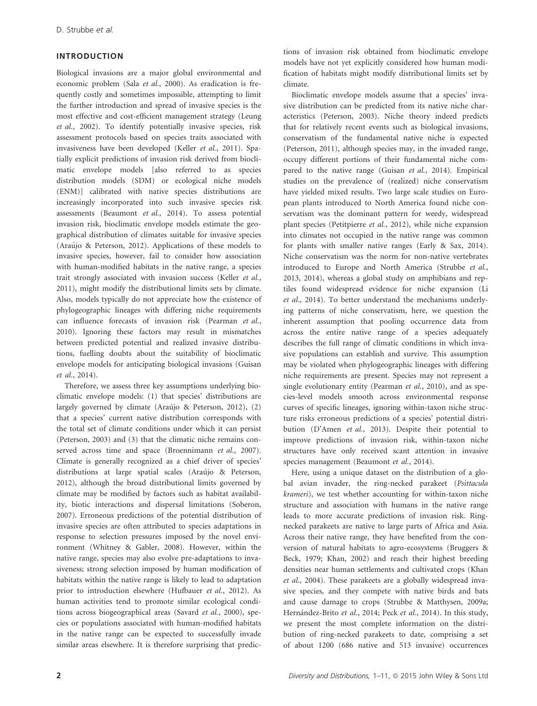#### INTRODUCTION

Biological invasions are a major global environmental and economic problem (Sala *et al.*, 2000). As eradication is frequently costly and sometimes impossible, attempting to limit the further introduction and spread of invasive species is the most effective and cost-efficient management strategy (Leung *et al.*, 2002). To identify potentially invasive species, risk assessment protocols based on species traits associated with invasiveness have been developed (Keller *et al.*, 2011). Spatially explicit predictions of invasion risk derived from bioclimatic envelope models [also referred to as species distribution models (SDM) or ecological niche models (ENM)] calibrated with native species distributions are increasingly incorporated into such invasive species risk assessments (Beaumont *et al.*, 2014). To assess potential invasion risk, bioclimatic envelope models estimate the geographical distribution of climates suitable for invasive species (Araújo & Peterson, 2012). Applications of these models to invasive species, however, fail to consider how association with human-modified habitats in the native range, a species trait strongly associated with invasion success (Keller *et al.*, 2011), might modify the distributional limits sets by climate. Also, models typically do not appreciate how the existence of phylogeographic lineages with differing niche requirements can influence forecasts of invasion risk (Pearman *et al.*, 2010). Ignoring these factors may result in mismatches between predicted potential and realized invasive distributions, fuelling doubts about the suitability of bioclimatic envelope models for anticipating biological invasions (Guisan *et al.*, 2014).

Therefore, we assess three key assumptions underlying bioclimatic envelope models: (1) that species' distributions are largely governed by climate (Araújo & Peterson, 2012), (2) that a species' current native distribution corresponds with the total set of climate conditions under which it can persist (Peterson, 2003) and (3) that the climatic niche remains conserved across time and space (Broennimann *et al.*, 2007). Climate is generally recognized as a chief driver of species' distributions at large spatial scales (Araújo & Peterson, 2012), although the broad distributional limits governed by climate may be modified by factors such as habitat availability, biotic interactions and dispersal limitations (Soberon, 2007). Erroneous predictions of the potential distribution of invasive species are often attributed to species adaptations in response to selection pressures imposed by the novel environment (Whitney & Gabler, 2008). However, within the native range, species may also evolve pre-adaptations to invasiveness; strong selection imposed by human modification of habitats within the native range is likely to lead to adaptation prior to introduction elsewhere (Hufbauer *et al.*, 2012). As human activities tend to promote similar ecological conditions across biogeographical areas (Savard *et al.*, 2000), species or populations associated with human-modified habitats in the native range can be expected to successfully invade similar areas elsewhere. It is therefore surprising that predictions of invasion risk obtained from bioclimatic envelope models have not yet explicitly considered how human modification of habitats might modify distributional limits set by climate.

Bioclimatic envelope models assume that a species' invasive distribution can be predicted from its native niche characteristics (Peterson, 2003). Niche theory indeed predicts that for relatively recent events such as biological invasions, conservatism of the fundamental native niche is expected (Peterson, 2011), although species may, in the invaded range, occupy different portions of their fundamental niche compared to the native range (Guisan *et al.*, 2014). Empirical studies on the prevalence of (realized) niche conservatism have yielded mixed results. Two large scale studies on European plants introduced to North America found niche conservatism was the dominant pattern for weedy, widespread plant species (Petitpierre *et al.*, 2012), while niche expansion into climates not occupied in the native range was common for plants with smaller native ranges (Early & Sax, 2014). Niche conservatism was the norm for non-native vertebrates introduced to Europe and North America (Strubbe *et al.*, 2013, 2014), whereas a global study on amphibians and reptiles found widespread evidence for niche expansion (Li *et al.*, 2014). To better understand the mechanisms underlying patterns of niche conservatism, here, we question the inherent assumption that pooling occurrence data from across the entire native range of a species adequately describes the full range of climatic conditions in which invasive populations can establish and survive. This assumption may be violated when phylogeographic lineages with differing niche requirements are present. Species may not represent a single evolutionary entity (Pearman *et al.*, 2010), and as species-level models smooth across environmental response curves of specific lineages, ignoring within-taxon niche structure risks erroneous predictions of a species' potential distribution (D'Amen *et al.*, 2013). Despite their potential to improve predictions of invasion risk, within-taxon niche structures have only received scant attention in invasive species management (Beaumont *et al.*, 2014).

Here, using a unique dataset on the distribution of a global avian invader, the ring-necked parakeet (*Psittacula krameri*), we test whether accounting for within-taxon niche structure and association with humans in the native range leads to more accurate predictions of invasion risk. Ringnecked parakeets are native to large parts of Africa and Asia. Across their native range, they have benefited from the conversion of natural habitats to agro-ecosystems (Bruggers & Beck, 1979; Khan, 2002) and reach their highest breeding densities near human settlements and cultivated crops (Khan *et al.*, 2004). These parakeets are a globally widespread invasive species, and they compete with native birds and bats and cause damage to crops (Strubbe & Matthysen, 2009a; Hernández-Brito et al., 2014; Peck et al., 2014). In this study, we present the most complete information on the distribution of ring-necked parakeets to date, comprising a set of about 1200 (686 native and 513 invasive) occurrences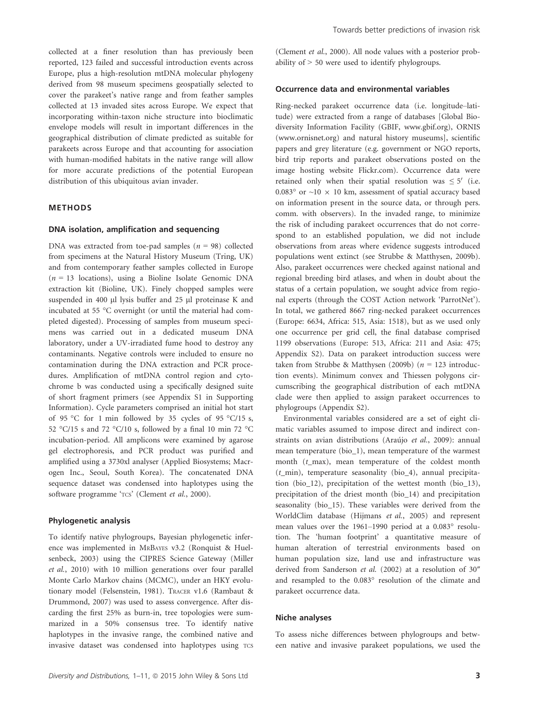collected at a finer resolution than has previously been reported, 123 failed and successful introduction events across Europe, plus a high-resolution mtDNA molecular phylogeny derived from 98 museum specimens geospatially selected to cover the parakeet's native range and from feather samples collected at 13 invaded sites across Europe. We expect that incorporating within-taxon niche structure into bioclimatic envelope models will result in important differences in the geographical distribution of climate predicted as suitable for parakeets across Europe and that accounting for association with human-modified habitats in the native range will allow for more accurate predictions of the potential European distribution of this ubiquitous avian invader.

#### METHODS

#### DNA isolation, amplification and sequencing

DNA was extracted from toe-pad samples (*n* = 98) collected from specimens at the Natural History Museum (Tring, UK) and from contemporary feather samples collected in Europe  $(n = 13$  locations), using a Bioline Isolate Genomic DNA extraction kit (Bioline, UK). Finely chopped samples were suspended in 400  $\mu$ l lysis buffer and 25  $\mu$ l proteinase K and incubated at 55 °C overnight (or until the material had completed digested). Processing of samples from museum specimens was carried out in a dedicated museum DNA laboratory, under a UV-irradiated fume hood to destroy any contaminants. Negative controls were included to ensure no contamination during the DNA extraction and PCR procedures. Amplification of mtDNA control region and cytochrome b was conducted using a specifically designed suite of short fragment primers (see Appendix S1 in Supporting Information). Cycle parameters comprised an initial hot start of 95 °C for 1 min followed by 35 cycles of 95 °C/15 s, 52 °C/15 s and 72 °C/10 s, followed by a final 10 min 72 °C incubation-period. All amplicons were examined by agarose gel electrophoresis, and PCR product was purified and amplified using a 3730xl analyser (Applied Biosystems; Macrogen Inc., Seoul, South Korea). The concatenated DNA sequence dataset was condensed into haplotypes using the software programme 'TCS' (Clement et al., 2000).

#### Phylogenetic analysis

To identify native phylogroups, Bayesian phylogenetic inference was implemented in MRBAYES v3.2 (Ronquist & Huelsenbeck, 2003) using the CIPRES Science Gateway (Miller *et al.*, 2010) with 10 million generations over four parallel Monte Carlo Markov chains (MCMC), under an HKY evolutionary model (Felsenstein, 1981). TRACER v1.6 (Rambaut & Drummond, 2007) was used to assess convergence. After discarding the first 25% as burn-in, tree topologies were summarized in a 50% consensus tree. To identify native haplotypes in the invasive range, the combined native and invasive dataset was condensed into haplotypes using TCS (Clement *et al.*, 2000). All node values with a posterior probability of > 50 were used to identify phylogroups.

#### Occurrence data and environmental variables

Ring-necked parakeet occurrence data (i.e. longitude–latitude) were extracted from a range of databases [Global Biodiversity Information Facility (GBIF, [www.gbif.org\)](http://www.gbif.org), ORNIS ([www.ornisnet.org](http://www.ornisnet.org)) and natural history museums], scientific papers and grey literature (e.g. government or NGO reports, bird trip reports and parakeet observations posted on the image hosting website [Flickr.com](http://Flickr.com)). Occurrence data were retained only when their spatial resolution was  $\leq 5'$  (i.e. 0.083° or  $\sim$ 10  $\times$  10 km, assessment of spatial accuracy based on information present in the source data, or through pers. comm. with observers). In the invaded range, to minimize the risk of including parakeet occurrences that do not correspond to an established population, we did not include observations from areas where evidence suggests introduced populations went extinct (see Strubbe & Matthysen, 2009b). Also, parakeet occurrences were checked against national and regional breeding bird atlases, and when in doubt about the status of a certain population, we sought advice from regional experts (through the COST Action network 'ParrotNet'). In total, we gathered 8667 ring-necked parakeet occurrences (Europe: 6634, Africa: 515, Asia: 1518), but as we used only one occurrence per grid cell, the final database comprised 1199 observations (Europe: 513, Africa: 211 and Asia: 475; Appendix S2). Data on parakeet introduction success were taken from Strubbe & Matthysen (2009b) (*n* = 123 introduction events). Minimum convex and Thiessen polygons circumscribing the geographical distribution of each mtDNA clade were then applied to assign parakeet occurrences to phylogroups (Appendix S2).

Environmental variables considered are a set of eight climatic variables assumed to impose direct and indirect constraints on avian distributions (Araújo et al., 2009): annual mean temperature (bio\_1), mean temperature of the warmest month (*t*\_max), mean temperature of the coldest month (*t*\_min), temperature seasonality (bio\_4), annual precipitation (bio\_12), precipitation of the wettest month (bio\_13), precipitation of the driest month (bio\_14) and precipitation seasonality (bio\_15). These variables were derived from the WorldClim database (Hijmans *et al.*, 2005) and represent mean values over the 1961–1990 period at a 0.083° resolution. The 'human footprint' a quantitative measure of human alteration of terrestrial environments based on human population size, land use and infrastructure was derived from Sanderson *et al.* (2002) at a resolution of 30″ and resampled to the 0.083° resolution of the climate and parakeet occurrence data.

#### Niche analyses

To assess niche differences between phylogroups and between native and invasive parakeet populations, we used the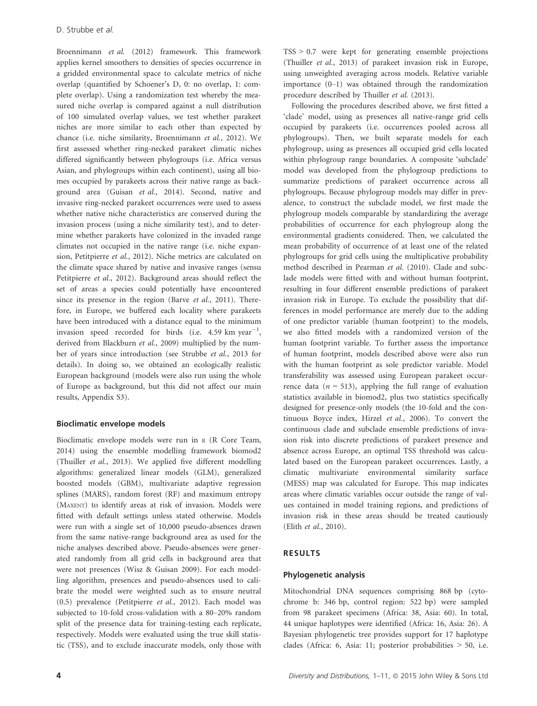Broennimann *et al.* (2012) framework. This framework applies kernel smoothers to densities of species occurrence in a gridded environmental space to calculate metrics of niche overlap (quantified by Schoener's D, 0: no overlap, 1: complete overlap). Using a randomization test whereby the measured niche overlap is compared against a null distribution of 100 simulated overlap values, we test whether parakeet niches are more similar to each other than expected by chance (i.e. niche similarity, Broennimann *et al.*, 2012). We first assessed whether ring-necked parakeet climatic niches differed significantly between phylogroups (i.e. Africa versus Asian, and phylogroups within each continent), using all biomes occupied by parakeets across their native range as background area (Guisan *et al.*, 2014). Second, native and invasive ring-necked parakeet occurrences were used to assess whether native niche characteristics are conserved during the invasion process (using a niche similarity test), and to determine whether parakeets have colonized in the invaded range climates not occupied in the native range (i.e. niche expansion, Petitpierre *et al.*, 2012). Niche metrics are calculated on the climate space shared by native and invasive ranges (sensu Petitpierre *et al.*, 2012). Background areas should reflect the set of areas a species could potentially have encountered since its presence in the region (Barve *et al.*, 2011). Therefore, in Europe, we buffered each locality where parakeets have been introduced with a distance equal to the minimum invasion speed recorded for birds (i.e. 4.59  $km$  year<sup>-1</sup>, derived from Blackburn *et al.*, 2009) multiplied by the number of years since introduction (see Strubbe *et al.*, 2013 for details). In doing so, we obtained an ecologically realistic European background (models were also run using the whole of Europe as background, but this did not affect our main results, Appendix S3).

#### Bioclimatic envelope models

Bioclimatic envelope models were run in <sup>R</sup> (R Core Team, 2014) using the ensemble modelling framework biomod2 (Thuiller *et al.*, 2013). We applied five different modelling algorithms: generalized linear models (GLM), generalized boosted models (GBM), multivariate adaptive regression splines (MARS), random forest (RF) and maximum entropy (MAXENT) to identify areas at risk of invasion. Models were fitted with default settings unless stated otherwise. Models were run with a single set of 10,000 pseudo-absences drawn from the same native-range background area as used for the niche analyses described above. Pseudo-absences were generated randomly from all grid cells in background area that were not presences (Wisz & Guisan 2009). For each modelling algorithm, presences and pseudo-absences used to calibrate the model were weighted such as to ensure neutral (0.5) prevalence (Petitpierre *et al.*, 2012). Each model was subjected to 10-fold cross-validation with a 80–20% random split of the presence data for training-testing each replicate, respectively. Models were evaluated using the true skill statistic (TSS), and to exclude inaccurate models, only those with  $TSS > 0.7$  were kept for generating ensemble projections (Thuiller *et al.*, 2013) of parakeet invasion risk in Europe, using unweighted averaging across models. Relative variable importance (0–1) was obtained through the randomization procedure described by Thuiller *et al.* (2013).

Following the procedures described above, we first fitted a 'clade' model, using as presences all native-range grid cells occupied by parakeets (i.e. occurrences pooled across all phylogroups). Then, we built separate models for each phylogroup, using as presences all occupied grid cells located within phylogroup range boundaries. A composite 'subclade' model was developed from the phylogroup predictions to summarize predictions of parakeet occurrence across all phylogroups. Because phylogroup models may differ in prevalence, to construct the subclade model, we first made the phylogroup models comparable by standardizing the average probabilities of occurrence for each phylogroup along the environmental gradients considered. Then, we calculated the mean probability of occurrence of at least one of the related phylogroups for grid cells using the multiplicative probability method described in Pearman *et al.* (2010). Clade and subclade models were fitted with and without human footprint, resulting in four different ensemble predictions of parakeet invasion risk in Europe. To exclude the possibility that differences in model performance are merely due to the adding of one predictor variable (human footprint) to the models, we also fitted models with a randomized version of the human footprint variable. To further assess the importance of human footprint, models described above were also run with the human footprint as sole predictor variable. Model transferability was assessed using European parakeet occurrence data  $(n = 513)$ , applying the full range of evaluation statistics available in biomod2, plus two statistics specifically designed for presence-only models (the 10-fold and the continuous Boyce index, Hirzel *et al.*, 2006). To convert the continuous clade and subclade ensemble predictions of invasion risk into discrete predictions of parakeet presence and absence across Europe, an optimal TSS threshold was calculated based on the European parakeet occurrences. Lastly, a climatic multivariate environmental similarity surface (MESS) map was calculated for Europe. This map indicates areas where climatic variables occur outside the range of values contained in model training regions, and predictions of invasion risk in these areas should be treated cautiously (Elith *et al.*, 2010).

#### RESULTS

#### Phylogenetic analysis

Mitochondrial DNA sequences comprising 868 bp (cytochrome b: 346 bp, control region: 522 bp) were sampled from 98 parakeet specimens (Africa: 38, Asia: 60). In total, 44 unique haplotypes were identified (Africa: 16, Asia: 26). A Bayesian phylogenetic tree provides support for 17 haplotype clades (Africa: 6, Asia: 11; posterior probabilities > 50, i.e.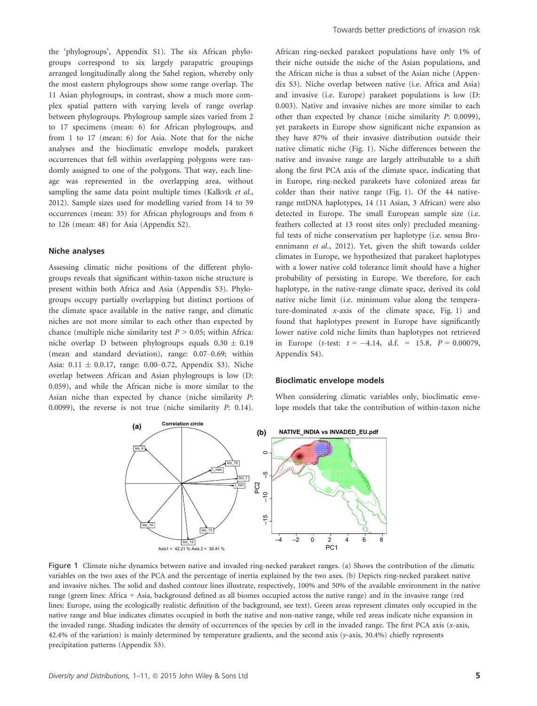the 'phylogroups', Appendix S1). The six African phylogroups correspond to six largely parapatric groupings arranged longitudinally along the Sahel region, whereby only the most eastern phylogroups show some range overlap. The 11 Asian phylogroups, in contrast, show a much more complex spatial pattern with varying levels of range overlap between phylogroups. Phylogroup sample sizes varied from 2 to 17 specimens (mean: 6) for African phylogroups, and from 1 to 17 (mean: 6) for Asia. Note that for the niche analyses and the bioclimatic envelope models, parakeet occurrences that fell within overlapping polygons were randomly assigned to one of the polygons. That way, each lineage was represented in the overlapping area, without sampling the same data point multiple times (Kalkvik *et al.*, 2012). Sample sizes used for modelling varied from 14 to 59 occurrences (mean: 35) for African phylogroups and from 6 to 126 (mean: 48) for Asia (Appendix S2).

#### Niche analyses

Assessing climatic niche positions of the different phylogroups reveals that significant within-taxon niche structure is present within both Africa and Asia (Appendix S3). Phylogroups occupy partially overlapping but distinct portions of the climate space available in the native range, and climatic niches are not more similar to each other than expected by chance (multiple niche similarity test  $P > 0.05$ ; within Africa: niche overlap D between phylogroups equals  $0.30 \pm 0.19$ (mean and standard deviation), range: 0.07–0.69; within Asia:  $0.11 \pm 0.0.17$ , range: 0.00–0.72, Appendix S3). Niche overlap between African and Asian phylogroups is low (D: 0.059), and while the African niche is more similar to the Asian niche than expected by chance (niche similarity *P*: 0.0099), the reverse is not true (niche similarity *P*: 0.14). African ring-necked parakeet populations have only 1% of their niche outside the niche of the Asian populations, and the African niche is thus a subset of the Asian niche (Appendix S3). Niche overlap between native (i.e. Africa and Asia) and invasive (i.e. Europe) parakeet populations is low (D: 0.003). Native and invasive niches are more similar to each other than expected by chance (niche similarity *P*: 0.0099), yet parakeets in Europe show significant niche expansion as they have 87% of their invasive distribution outside their native climatic niche (Fig. 1). Niche differences between the native and invasive range are largely attributable to a shift along the first PCA axis of the climate space, indicating that in Europe, ring-necked parakeets have colonized areas far colder than their native range (Fig. 1). Of the 44 nativerange mtDNA haplotypes, 14 (11 Asian, 3 African) were also detected in Europe. The small European sample size (i.e. feathers collected at 13 roost sites only) precluded meaningful tests of niche conservatism per haplotype (i.e. sensu Broennimann *et al.*, 2012). Yet, given the shift towards colder climates in Europe, we hypothesized that parakeet haplotypes with a lower native cold tolerance limit should have a higher probability of persisting in Europe. We therefore, for each haplotype, in the native-range climate space, derived its cold native niche limit (i.e. minimum value along the temperature-dominated *x*-axis of the climate space, Fig. 1) and found that haplotypes present in Europe have significantly lower native cold niche limits than haplotypes not retrieved in Europe (*t*-test:  $t = -4.14$ , d.f. = 15.8,  $P = 0.00079$ , Appendix S4).

#### Bioclimatic envelope models

When considering climatic variables only, bioclimatic envelope models that take the contribution of within-taxon niche



Figure 1 Climate niche dynamics between native and invaded ring-necked parakeet ranges. (a) Shows the contribution of the climatic variables on the two axes of the PCA and the percentage of inertia explained by the two axes. (b) Depicts ring-necked parakeet native and invasive niches. The solid and dashed contour lines illustrate, respectively, 100% and 50% of the available environment in the native range (green lines: Africa + Asia, background defined as all biomes occupied across the native range) and in the invasive range (red lines: Europe, using the ecologically realistic definition of the background, see text). Green areas represent climates only occupied in the native range and blue indicates climates occupied in both the native and non-native range, while red areas indicate niche expansion in the invaded range. Shading indicates the density of occurrences of the species by cell in the invaded range. The first PCA axis (*x*-axis, 42.4% of the variation) is mainly determined by temperature gradients, and the second axis (*y*-axis, 30.4%) chiefly represents precipitation patterns (Appendix S3).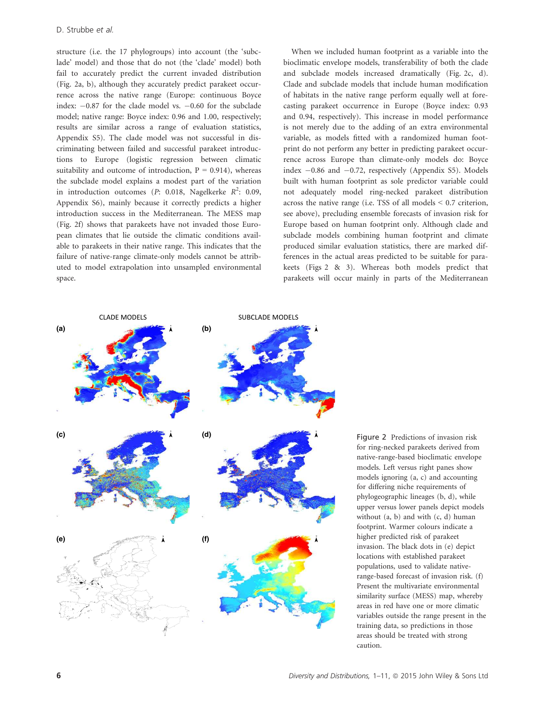structure (i.e. the 17 phylogroups) into account (the 'subclade' model) and those that do not (the 'clade' model) both fail to accurately predict the current invaded distribution (Fig. 2a, b), although they accurately predict parakeet occurrence across the native range (Europe: continuous Boyce index:  $-0.87$  for the clade model vs.  $-0.60$  for the subclade model; native range: Boyce index: 0.96 and 1.00, respectively; results are similar across a range of evaluation statistics, Appendix S5). The clade model was not successful in discriminating between failed and successful parakeet introductions to Europe (logistic regression between climatic suitability and outcome of introduction,  $P = 0.914$ ), whereas the subclade model explains a modest part of the variation in introduction outcomes (*P*: 0.018, Nagelkerke *R* 2 : 0.09, Appendix S6), mainly because it correctly predicts a higher introduction success in the Mediterranean. The MESS map (Fig. 2f) shows that parakeets have not invaded those European climates that lie outside the climatic conditions available to parakeets in their native range. This indicates that the failure of native-range climate-only models cannot be attributed to model extrapolation into unsampled environmental space.

When we included human footprint as a variable into the bioclimatic envelope models, transferability of both the clade and subclade models increased dramatically (Fig. 2c, d). Clade and subclade models that include human modification of habitats in the native range perform equally well at forecasting parakeet occurrence in Europe (Boyce index: 0.93 and 0.94, respectively). This increase in model performance is not merely due to the adding of an extra environmental variable, as models fitted with a randomized human footprint do not perform any better in predicting parakeet occurrence across Europe than climate-only models do: Boyce index  $-0.86$  and  $-0.72$ , respectively (Appendix S5). Models built with human footprint as sole predictor variable could not adequately model ring-necked parakeet distribution across the native range (i.e. TSS of all models < 0.7 criterion, see above), precluding ensemble forecasts of invasion risk for Europe based on human footprint only. Although clade and subclade models combining human footprint and climate produced similar evaluation statistics, there are marked differences in the actual areas predicted to be suitable for parakeets (Figs 2 & 3). Whereas both models predict that parakeets will occur mainly in parts of the Mediterranean



Figure 2 Predictions of invasion risk for ring-necked parakeets derived from native-range-based bioclimatic envelope models. Left versus right panes show models ignoring (a, c) and accounting for differing niche requirements of phylogeographic lineages (b, d), while upper versus lower panels depict models without  $(a, b)$  and with  $(c, d)$  human footprint. Warmer colours indicate a higher predicted risk of parakeet invasion. The black dots in (e) depict locations with established parakeet populations, used to validate nativerange-based forecast of invasion risk. (f) Present the multivariate environmental similarity surface (MESS) map, whereby areas in red have one or more climatic variables outside the range present in the training data, so predictions in those areas should be treated with strong caution.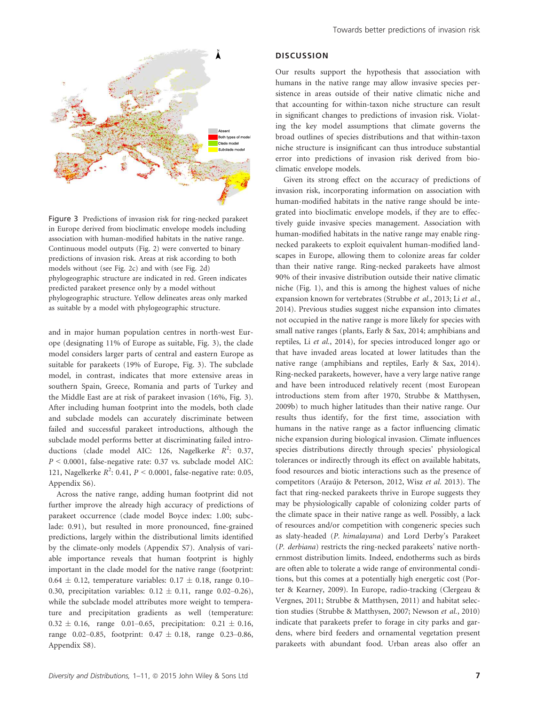

Figure 3 Predictions of invasion risk for ring-necked parakeet in Europe derived from bioclimatic envelope models including association with human-modified habitats in the native range. Continuous model outputs (Fig. 2) were converted to binary predictions of invasion risk. Areas at risk according to both models without (see Fig. 2c) and with (see Fig. 2d) phylogeographic structure are indicated in red. Green indicates predicted parakeet presence only by a model without phylogeographic structure. Yellow delineates areas only marked as suitable by a model with phylogeographic structure.

and in major human population centres in north-west Europe (designating 11% of Europe as suitable, Fig. 3), the clade model considers larger parts of central and eastern Europe as suitable for parakeets (19% of Europe, Fig. 3). The subclade model, in contrast, indicates that more extensive areas in southern Spain, Greece, Romania and parts of Turkey and the Middle East are at risk of parakeet invasion (16%, Fig. 3). After including human footprint into the models, both clade and subclade models can accurately discriminate between failed and successful parakeet introductions, although the subclade model performs better at discriminating failed introductions (clade model AIC: 126, Nagelkerke  $R^2$ : 0.37, *P* < 0.0001, false-negative rate: 0.37 vs. subclade model AIC: 121, Nagelkerke *R* 2 : 0.41, *P* < 0.0001, false-negative rate: 0.05, Appendix S6).

Across the native range, adding human footprint did not further improve the already high accuracy of predictions of parakeet occurrence (clade model Boyce index: 1.00; subclade: 0.91), but resulted in more pronounced, fine-grained predictions, largely within the distributional limits identified by the climate-only models (Appendix S7). Analysis of variable importance reveals that human footprint is highly important in the clade model for the native range (footprint:  $0.64 \pm 0.12$ , temperature variables:  $0.17 \pm 0.18$ , range 0.10– 0.30, precipitation variables:  $0.12 \pm 0.11$ , range 0.02-0.26), while the subclade model attributes more weight to temperature and precipitation gradients as well (temperature:  $0.32 \pm 0.16$ , range 0.01-0.65, precipitation:  $0.21 \pm 0.16$ , range 0.02–0.85, footprint:  $0.47 \pm 0.18$ , range 0.23–0.86, Appendix S8).

#### **DISCUSSION**

Our results support the hypothesis that association with humans in the native range may allow invasive species persistence in areas outside of their native climatic niche and that accounting for within-taxon niche structure can result in significant changes to predictions of invasion risk. Violating the key model assumptions that climate governs the broad outlines of species distributions and that within-taxon niche structure is insignificant can thus introduce substantial error into predictions of invasion risk derived from bioclimatic envelope models.

Given its strong effect on the accuracy of predictions of invasion risk, incorporating information on association with human-modified habitats in the native range should be integrated into bioclimatic envelope models, if they are to effectively guide invasive species management. Association with human-modified habitats in the native range may enable ringnecked parakeets to exploit equivalent human-modified landscapes in Europe, allowing them to colonize areas far colder than their native range. Ring-necked parakeets have almost 90% of their invasive distribution outside their native climatic niche (Fig. 1), and this is among the highest values of niche expansion known for vertebrates (Strubbe *et al.*, 2013; Li *et al.*, 2014). Previous studies suggest niche expansion into climates not occupied in the native range is more likely for species with small native ranges (plants, Early & Sax, 2014; amphibians and reptiles, Li *et al.*, 2014), for species introduced longer ago or that have invaded areas located at lower latitudes than the native range (amphibians and reptiles, Early & Sax, 2014). Ring-necked parakeets, however, have a very large native range and have been introduced relatively recent (most European introductions stem from after 1970, Strubbe & Matthysen, 2009b) to much higher latitudes than their native range. Our results thus identify, for the first time, association with humans in the native range as a factor influencing climatic niche expansion during biological invasion. Climate influences species distributions directly through species' physiological tolerances or indirectly through its effect on available habitats, food resources and biotic interactions such as the presence of competitors (Araújo & Peterson, 2012, Wisz et al. 2013). The fact that ring-necked parakeets thrive in Europe suggests they may be physiologically capable of colonizing colder parts of the climate space in their native range as well. Possibly, a lack of resources and/or competition with congeneric species such as slaty-headed (*P. himalayana*) and Lord Derby's Parakeet (*P. derbiana*) restricts the ring-necked parakeets' native northernmost distribution limits. Indeed, endotherms such as birds are often able to tolerate a wide range of environmental conditions, but this comes at a potentially high energetic cost (Porter & Kearney, 2009). In Europe, radio-tracking (Clergeau & Vergnes, 2011; Strubbe & Matthysen, 2011) and habitat selection studies (Strubbe & Matthysen, 2007; Newson *et al.*, 2010) indicate that parakeets prefer to forage in city parks and gardens, where bird feeders and ornamental vegetation present parakeets with abundant food. Urban areas also offer an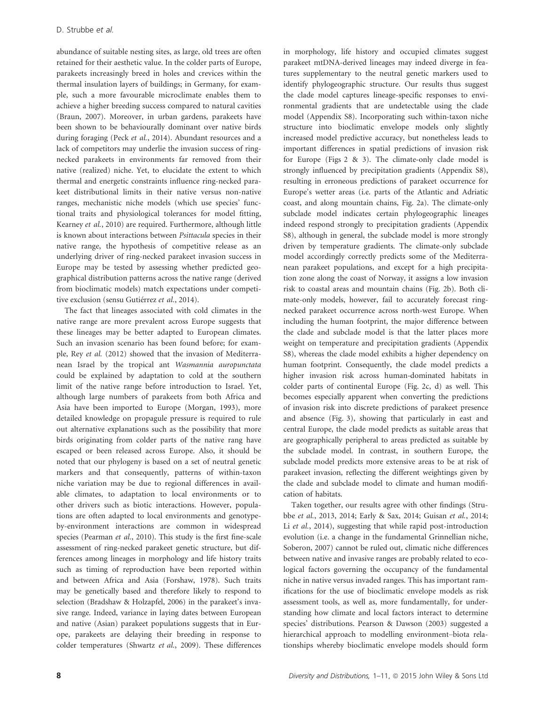abundance of suitable nesting sites, as large, old trees are often retained for their aesthetic value. In the colder parts of Europe, parakeets increasingly breed in holes and crevices within the thermal insulation layers of buildings; in Germany, for example, such a more favourable microclimate enables them to achieve a higher breeding success compared to natural cavities (Braun, 2007). Moreover, in urban gardens, parakeets have been shown to be behaviourally dominant over native birds during foraging (Peck *et al.*, 2014). Abundant resources and a lack of competitors may underlie the invasion success of ringnecked parakeets in environments far removed from their native (realized) niche. Yet, to elucidate the extent to which thermal and energetic constraints influence ring-necked parakeet distributional limits in their native versus non-native ranges, mechanistic niche models (which use species' functional traits and physiological tolerances for model fitting, Kearney *et al.*, 2010) are required. Furthermore, although little is known about interactions between *Psittacula* species in their native range, the hypothesis of competitive release as an underlying driver of ring-necked parakeet invasion success in Europe may be tested by assessing whether predicted geographical distribution patterns across the native range (derived from bioclimatic models) match expectations under competitive exclusion (sensu Gutiérrez et al., 2014).

The fact that lineages associated with cold climates in the native range are more prevalent across Europe suggests that these lineages may be better adapted to European climates. Such an invasion scenario has been found before; for example, Rey *et al.* (2012) showed that the invasion of Mediterranean Israel by the tropical ant *Wasmannia auropunctata* could be explained by adaptation to cold at the southern limit of the native range before introduction to Israel. Yet, although large numbers of parakeets from both Africa and Asia have been imported to Europe (Morgan, 1993), more detailed knowledge on propagule pressure is required to rule out alternative explanations such as the possibility that more birds originating from colder parts of the native rang have escaped or been released across Europe. Also, it should be noted that our phylogeny is based on a set of neutral genetic markers and that consequently, patterns of within-taxon niche variation may be due to regional differences in available climates, to adaptation to local environments or to other drivers such as biotic interactions. However, populations are often adapted to local environments and genotypeby-environment interactions are common in widespread species (Pearman *et al.*, 2010). This study is the first fine-scale assessment of ring-necked parakeet genetic structure, but differences among lineages in morphology and life history traits such as timing of reproduction have been reported within and between Africa and Asia (Forshaw, 1978). Such traits may be genetically based and therefore likely to respond to selection (Bradshaw & Holzapfel, 2006) in the parakeet's invasive range. Indeed, variance in laying dates between European and native (Asian) parakeet populations suggests that in Europe, parakeets are delaying their breeding in response to colder temperatures (Shwartz *et al.*, 2009). These differences

in morphology, life history and occupied climates suggest parakeet mtDNA-derived lineages may indeed diverge in features supplementary to the neutral genetic markers used to identify phylogeographic structure. Our results thus suggest the clade model captures lineage-specific responses to environmental gradients that are undetectable using the clade model (Appendix S8). Incorporating such within-taxon niche structure into bioclimatic envelope models only slightly increased model predictive accuracy, but nonetheless leads to important differences in spatial predictions of invasion risk for Europe (Figs  $2 \& 3$ ). The climate-only clade model is strongly influenced by precipitation gradients (Appendix S8), resulting in erroneous predictions of parakeet occurrence for Europe's wetter areas (i.e. parts of the Atlantic and Adriatic coast, and along mountain chains, Fig. 2a). The climate-only subclade model indicates certain phylogeographic lineages indeed respond strongly to precipitation gradients (Appendix S8), although in general, the subclade model is more strongly driven by temperature gradients. The climate-only subclade model accordingly correctly predicts some of the Mediterranean parakeet populations, and except for a high precipitation zone along the coast of Norway, it assigns a low invasion risk to coastal areas and mountain chains (Fig. 2b). Both climate-only models, however, fail to accurately forecast ringnecked parakeet occurrence across north-west Europe. When including the human footprint, the major difference between the clade and subclade model is that the latter places more weight on temperature and precipitation gradients (Appendix S8), whereas the clade model exhibits a higher dependency on human footprint. Consequently, the clade model predicts a higher invasion risk across human-dominated habitats in colder parts of continental Europe (Fig. 2c, d) as well. This becomes especially apparent when converting the predictions of invasion risk into discrete predictions of parakeet presence and absence (Fig. 3), showing that particularly in east and central Europe, the clade model predicts as suitable areas that are geographically peripheral to areas predicted as suitable by the subclade model. In contrast, in southern Europe, the subclade model predicts more extensive areas to be at risk of parakeet invasion, reflecting the different weightings given by the clade and subclade model to climate and human modification of habitats.

Taken together, our results agree with other findings (Strubbe *et al.*, 2013, 2014; Early & Sax, 2014; Guisan *et al.*, 2014; Li *et al.*, 2014), suggesting that while rapid post-introduction evolution (i.e. a change in the fundamental Grinnellian niche, Soberon, 2007) cannot be ruled out, climatic niche differences between native and invasive ranges are probably related to ecological factors governing the occupancy of the fundamental niche in native versus invaded ranges. This has important ramifications for the use of bioclimatic envelope models as risk assessment tools, as well as, more fundamentally, for understanding how climate and local factors interact to determine species' distributions. Pearson & Dawson (2003) suggested a hierarchical approach to modelling environment–biota relationships whereby bioclimatic envelope models should form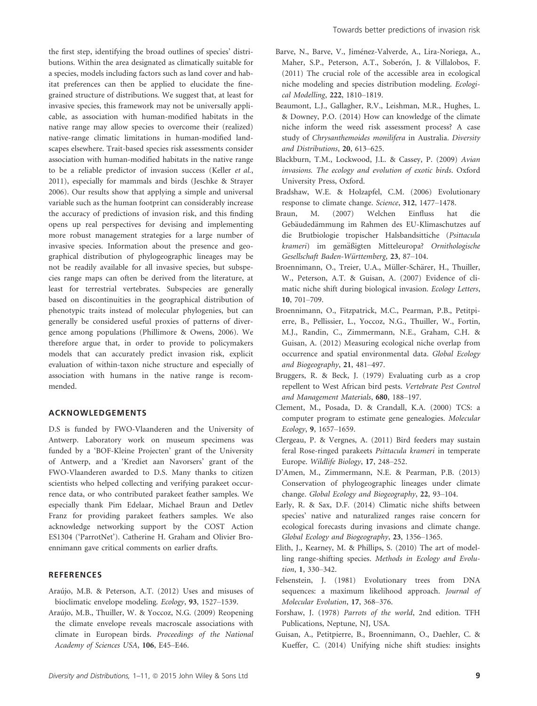the first step, identifying the broad outlines of species' distributions. Within the area designated as climatically suitable for a species, models including factors such as land cover and habitat preferences can then be applied to elucidate the finegrained structure of distributions. We suggest that, at least for invasive species, this framework may not be universally applicable, as association with human-modified habitats in the native range may allow species to overcome their (realized) native-range climatic limitations in human-modified landscapes elsewhere. Trait-based species risk assessments consider association with human-modified habitats in the native range to be a reliable predictor of invasion success (Keller *et al.*, 2011), especially for mammals and birds (Jeschke & Strayer 2006). Our results show that applying a simple and universal variable such as the human footprint can considerably increase the accuracy of predictions of invasion risk, and this finding opens up real perspectives for devising and implementing more robust management strategies for a large number of invasive species. Information about the presence and geographical distribution of phylogeographic lineages may be not be readily available for all invasive species, but subspecies range maps can often be derived from the literature, at least for terrestrial vertebrates. Subspecies are generally based on discontinuities in the geographical distribution of phenotypic traits instead of molecular phylogenies, but can generally be considered useful proxies of patterns of divergence among populations (Phillimore & Owens, 2006). We therefore argue that, in order to provide to policymakers models that can accurately predict invasion risk, explicit evaluation of within-taxon niche structure and especially of association with humans in the native range is recommended.

#### ACKNOWLEDGEMENTS

D.S is funded by FWO-Vlaanderen and the University of Antwerp. Laboratory work on museum specimens was funded by a 'BOF-Kleine Projecten' grant of the University of Antwerp, and a 'Krediet aan Navorsers' grant of the FWO-Vlaanderen awarded to D.S. Many thanks to citizen scientists who helped collecting and verifying parakeet occurrence data, or who contributed parakeet feather samples. We especially thank Pim Edelaar, Michael Braun and Detlev Franz for providing parakeet feathers samples. We also acknowledge networking support by the COST Action ES1304 ('ParrotNet'). Catherine H. Graham and Olivier Broennimann gave critical comments on earlier drafts.

#### **REFERENCES**

- Araújo, M.B. & Peterson, A.T. (2012) Uses and misuses of bioclimatic envelope modeling. *Ecology*, 93, 1527–1539.
- Araújo, M.B., Thuiller, W. & Yoccoz, N.G. (2009) Reopening the climate envelope reveals macroscale associations with climate in European birds. *Proceedings of the National Academy of Sciences USA*, 106, E45–E46.
- Barve, N., Barve, V., Jiménez-Valverde, A., Lira-Noriega, A., Maher, S.P., Peterson, A.T., Soberón, J. & Villalobos, F. (2011) The crucial role of the accessible area in ecological niche modeling and species distribution modeling. *Ecological Modelling*, 222, 1810–1819.
- Beaumont, L.J., Gallagher, R.V., Leishman, M.R., Hughes, L. & Downey, P.O. (2014) How can knowledge of the climate niche inform the weed risk assessment process? A case study of *Chrysanthemoides monilifera* in Australia. *Diversity and Distributions*, 20, 613–625.
- Blackburn, T.M., Lockwood, J.L. & Cassey, P. (2009) *Avian invasions. The ecology and evolution of exotic birds*. Oxford University Press, Oxford.
- Bradshaw, W.E. & Holzapfel, C.M. (2006) Evolutionary response to climate change. *Science*, 312, 1477–1478.
- Braun, M. (2007) Welchen Einfluss hat die Gebäudedämmung im Rahmen des EU-Klimaschutzes auf die Brutbiologie tropischer Halsbandsittiche (*Psittacula krameri*) im gem€aßigten Mitteleuropa? *Ornithologische Gesellschaft Baden-Württemberg*, 23, 87–104.
- Broennimann, O., Treier, U.A., Müller-Schärer, H., Thuiller, W., Peterson, A.T. & Guisan, A. (2007) Evidence of climatic niche shift during biological invasion. *Ecology Letters*, 10, 701–709.
- Broennimann, O., Fitzpatrick, M.C., Pearman, P.B., Petitpierre, B., Pellissier, L., Yoccoz, N.G., Thuiller, W., Fortin, M.J., Randin, C., Zimmermann, N.E., Graham, C.H. & Guisan, A. (2012) Measuring ecological niche overlap from occurrence and spatial environmental data. *Global Ecology and Biogeography*, 21, 481–497.
- Bruggers, R. & Beck, J. (1979) Evaluating curb as a crop repellent to West African bird pests. *Vertebrate Pest Control and Management Materials*, 680, 188–197.
- Clement, M., Posada, D. & Crandall, K.A. (2000) TCS: a computer program to estimate gene genealogies. *Molecular Ecology*, 9, 1657–1659.
- Clergeau, P. & Vergnes, A. (2011) Bird feeders may sustain feral Rose-ringed parakeets *Psittacula krameri* in temperate Europe. *Wildlife Biology*, 17, 248–252.
- D'Amen, M., Zimmermann, N.E. & Pearman, P.B. (2013) Conservation of phylogeographic lineages under climate change. *Global Ecology and Biogeography*, 22, 93–104.
- Early, R. & Sax, D.F. (2014) Climatic niche shifts between species' native and naturalized ranges raise concern for ecological forecasts during invasions and climate change. *Global Ecology and Biogeography*, 23, 1356–1365.
- Elith, J., Kearney, M. & Phillips, S. (2010) The art of modelling range-shifting species. *Methods in Ecology and Evolution*, 1, 330–342.
- Felsenstein, J. (1981) Evolutionary trees from DNA sequences: a maximum likelihood approach. *Journal of Molecular Evolution*, 17, 368–376.
- Forshaw, J. (1978) *Parrots of the world*, 2nd edition. TFH Publications, Neptune, NJ, USA.
- Guisan, A., Petitpierre, B., Broennimann, O., Daehler, C. & Kueffer, C. (2014) Unifying niche shift studies: insights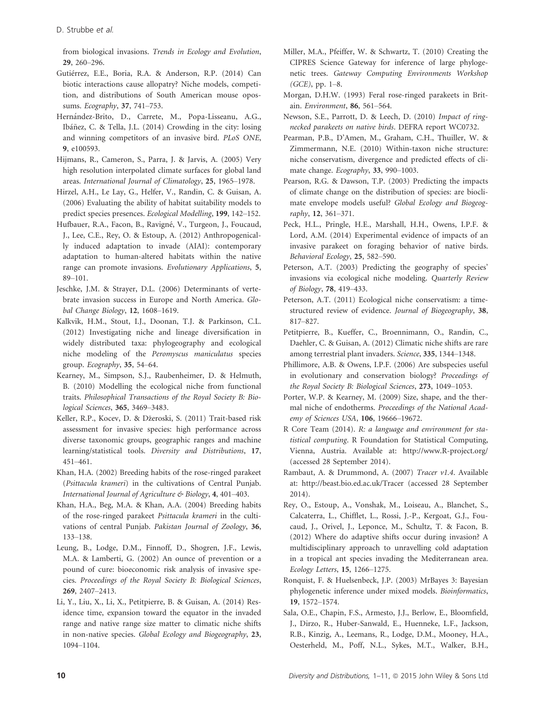from biological invasions. *Trends in Ecology and Evolution*, 29, 260–296.

- Gutiérrez, E.E., Boria, R.A. & Anderson, R.P. (2014) Can biotic interactions cause allopatry? Niche models, competition, and distributions of South American mouse opossums. *Ecography*, 37, 741–753.
- Hern!andez-Brito, D., Carrete, M., Popa-Lisseanu, A.G., Ibáñez, C. & Tella, J.L. (2014) Crowding in the city: losing and winning competitors of an invasive bird. *PLoS ONE*, 9, e100593.
- Hijmans, R., Cameron, S., Parra, J. & Jarvis, A. (2005) Very high resolution interpolated climate surfaces for global land areas. *International Journal of Climatology*, 25, 1965–1978.
- Hirzel, A.H., Le Lay, G., Helfer, V., Randin, C. & Guisan, A. (2006) Evaluating the ability of habitat suitability models to predict species presences. *Ecological Modelling*, 199, 142–152.
- Hufbauer, R.A., Facon, B., Ravigné, V., Turgeon, J., Foucaud, J., Lee, C.E., Rey, O. & Estoup, A. (2012) Anthropogenically induced adaptation to invade (AIAI): contemporary adaptation to human-altered habitats within the native range can promote invasions. *Evolutionary Applications*, 5, 89–101.
- Jeschke, J.M. & Strayer, D.L. (2006) Determinants of vertebrate invasion success in Europe and North America. *Global Change Biology*, 12, 1608–1619.
- Kalkvik, H.M., Stout, I.J., Doonan, T.J. & Parkinson, C.L. (2012) Investigating niche and lineage diversification in widely distributed taxa: phylogeography and ecological niche modeling of the *Peromyscus maniculatus* species group. *Ecography*, 35, 54–64.
- Kearney, M., Simpson, S.J., Raubenheimer, D. & Helmuth, B. (2010) Modelling the ecological niche from functional traits. *Philosophical Transactions of the Royal Society B: Biological Sciences*, 365, 3469–3483.
- Keller, R.P., Kocev, D. & Džeroski, S. (2011) Trait-based risk assessment for invasive species: high performance across diverse taxonomic groups, geographic ranges and machine learning/statistical tools. *Diversity and Distributions*, 17, 451–461.
- Khan, H.A. (2002) Breeding habits of the rose-ringed parakeet (*Psittacula krameri*) in the cultivations of Central Punjab. *International Journal of Agriculture & Biology*, 4, 401–403.
- Khan, H.A., Beg, M.A. & Khan, A.A. (2004) Breeding habits of the rose-ringed parakeet *Psittacula krameri* in the cultivations of central Punjab. *Pakistan Journal of Zoology*, 36, 133–138.
- Leung, B., Lodge, D.M., Finnoff, D., Shogren, J.F., Lewis, M.A. & Lamberti, G. (2002) An ounce of prevention or a pound of cure: bioeconomic risk analysis of invasive species. *Proceedings of the Royal Society B: Biological Sciences*, 269, 2407–2413.
- Li, Y., Liu, X., Li, X., Petitpierre, B. & Guisan, A. (2014) Residence time, expansion toward the equator in the invaded range and native range size matter to climatic niche shifts in non-native species. *Global Ecology and Biogeography*, 23, 1094–1104.
- Miller, M.A., Pfeiffer, W. & Schwartz, T. (2010) Creating the CIPRES Science Gateway for inference of large phylogenetic trees. *Gateway Computing Environments Workshop (GCE)*, pp. 1–8.
- Morgan, D.H.W. (1993) Feral rose-ringed parakeets in Britain. *Environment*, 86, 561–564.
- Newson, S.E., Parrott, D. & Leech, D. (2010) *Impact of ringnecked parakeets on native birds*. DEFRA report WC0732.
- Pearman, P.B., D'Amen, M., Graham, C.H., Thuiller, W. & Zimmermann, N.E. (2010) Within-taxon niche structure: niche conservatism, divergence and predicted effects of climate change. *Ecography*, 33, 990–1003.
- Pearson, R.G. & Dawson, T.P. (2003) Predicting the impacts of climate change on the distribution of species: are bioclimate envelope models useful? *Global Ecology and Biogeography*, 12, 361–371.
- Peck, H.L., Pringle, H.E., Marshall, H.H., Owens, I.P.F. & Lord, A.M. (2014) Experimental evidence of impacts of an invasive parakeet on foraging behavior of native birds. *Behavioral Ecology*, 25, 582–590.
- Peterson, A.T. (2003) Predicting the geography of species' invasions via ecological niche modeling. *Quarterly Review of Biology*, 78, 419–433.
- Peterson, A.T. (2011) Ecological niche conservatism: a timestructured review of evidence. *Journal of Biogeography*, 38, 817–827.
- Petitpierre, B., Kueffer, C., Broennimann, O., Randin, C., Daehler, C. & Guisan, A. (2012) Climatic niche shifts are rare among terrestrial plant invaders. *Science*, 335, 1344–1348.
- Phillimore, A.B. & Owens, I.P.F. (2006) Are subspecies useful in evolutionary and conservation biology? *Proceedings of the Royal Society B: Biological Sciences*, 273, 1049–1053.
- Porter, W.P. & Kearney, M. (2009) Size, shape, and the thermal niche of endotherms. *Proceedings of the National Academy of Sciences USA*, 106, 19666–19672.
- R Core Team (2014). *R: a language and environment for statistical computing*. R Foundation for Statistical Computing, Vienna, Austria. Available at:<http://www.R-project.org/> (accessed 28 September 2014).
- Rambaut, A. & Drummond, A. (2007) *Tracer v1.4*. Available at:<http://beast.bio.ed.ac.uk/Tracer> (accessed 28 September 2014).
- Rey, O., Estoup, A., Vonshak, M., Loiseau, A., Blanchet, S., Calcaterra, L., Chifflet, L., Rossi, J.-P., Kergoat, G.J., Foucaud, J., Orivel, J., Leponce, M., Schultz, T. & Facon, B. (2012) Where do adaptive shifts occur during invasion? A multidisciplinary approach to unravelling cold adaptation in a tropical ant species invading the Mediterranean area. *Ecology Letters*, 15, 1266–1275.
- Ronquist, F. & Huelsenbeck, J.P. (2003) MrBayes 3: Bayesian phylogenetic inference under mixed models. *Bioinformatics*, 19, 1572–1574.
- Sala, O.E., Chapin, F.S., Armesto, J.J., Berlow, E., Bloomfield, J., Dirzo, R., Huber-Sanwald, E., Huenneke, L.F., Jackson, R.B., Kinzig, A., Leemans, R., Lodge, D.M., Mooney, H.A., Oesterheld, M., Poff, N.L., Sykes, M.T., Walker, B.H.,